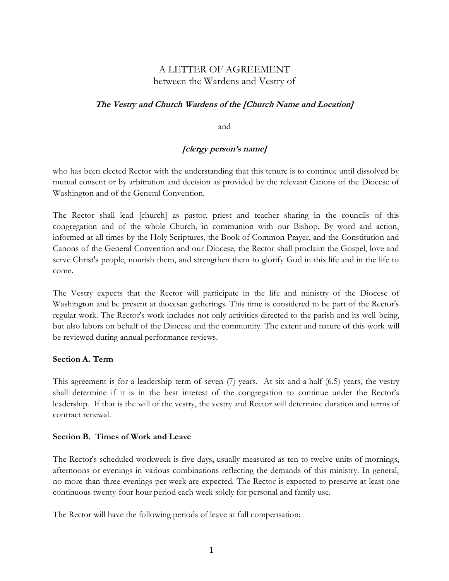# A LETTER OF AGREEMENT between the Wardens and Vestry of

## **The Vestry and Church Wardens of the [Church Name and Location]**

and

# **[clergy person's name]**

 who has been elected Rector with the understanding that this tenure is to continue until dissolved by mutual consent or by arbitration and decision as provided by the relevant Canons of the Diocese of Washington and of the General Convention.

The Rector shall lead [church] as pastor, priest and teacher sharing in the councils of this congregation and of the whole Church, in communion with our Bishop. By word and action, informed at all times by the Holy Scriptures, the Book of Common Prayer, and the Constitution and Canons of the General Convention and our Diocese, the Rector shall proclaim the Gospel, love and serve Christ's people, nourish them, and strengthen them to glorify God in this life and in the life to come.

The Vestry expects that the Rector will participate in the life and ministry of the Diocese of Washington and be present at diocesan gatherings. This time is considered to be part of the Rector's regular work. The Rector's work includes not only activities directed to the parish and its well-being, but also labors on behalf of the Diocese and the community. The extent and nature of this work will be reviewed during annual performance reviews.

### **Section A. Term**

This agreement is for a leadership term of seven (7) years. At six-and-a-half (6.5) years, the vestry shall determine if it is in the best interest of the congregation to continue under the Rector's leadership. If that is the will of the vestry, the vestry and Rector will determine duration and terms of contract renewal.

#### **Section B. Times of Work and Leave**

The Rector's scheduled workweek is five days, usually measured as ten to twelve units of mornings, afternoons or evenings in various combinations reflecting the demands of this ministry. In general, no more than three evenings per week are expected. The Rector is expected to preserve at least one continuous twenty-four hour period each week solely for personal and family use.

The Rector will have the following periods of leave at full compensation: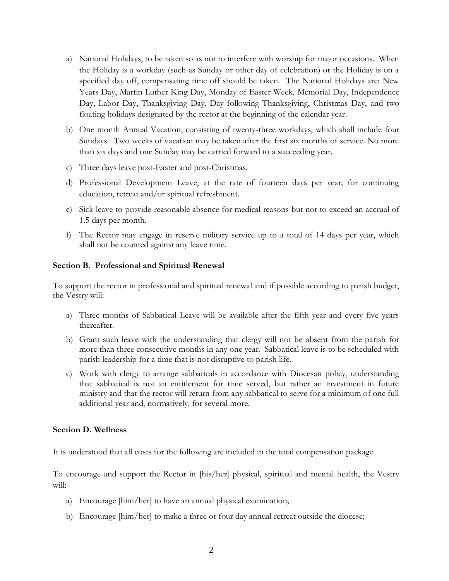- a) National Holidays, to be taken so as not to interfere with worship for major occasions. When the Holiday is a workday (such as Sunday or other day of celebration) or the Holiday is on a specified day off, compensating time off should be taken. The National Holidays are: New Years Day, Martin Luther King Day, Monday of Easter Week, Memorial Day, Independence Day, Labor Day, Thanksgiving Day, Day following Thanksgiving, Christmas Day, and two floating holidays designated by the rector at the beginning of the calendar year.
- b) One month Annual Vacation, consisting of twenty-three workdays, which shall include four Sundays. Two weeks of vacation may be taken after the first six months of service. No more than six days and one Sunday may be carried forward to a succeeding year.
- c) Three days leave post-Easter and post-Christmas.
- d) Professional Development Leave, at the rate of fourteen days per year; for continuing education, retreat and/or spiritual refreshment.
- e) Sick leave to provide reasonable absence for medical reasons but not to exceed an accrual of 1.5 days per month.
- f) The Rector may engage in reserve military service up to a total of 14 days per year, which shall not be counted against any leave time.

#### **Section B. Professional and Spiritual Renewal**

To support the rector in professional and spiritual renewal and if possible according to parish budget, the Vestry will:

- a) Three months of Sabbatical Leave will be available after the fifth year and every five years thereafter.
- b) Grant such leave with the understanding that clergy will not be absent from the parish for more than three consecutive months in any one year. Sabbatical leave is to be scheduled with parish leadership for a time that is not disruptive to parish life.
- c) Work with clergy to arrange sabbaticals in accordance with Diocesan policy, understanding that sabbatical is not an entitlement for time served, but rather an investment in future ministry and that the rector will return from any sabbatical to serve for a minimum of one full additional year and, normatively, for several more.

#### **Section D. Wellness**

It is understood that all costs for the following are included in the total compensation package.

To encourage and support the Rector in [his/her] physical, spiritual and mental health, the Vestry will:

- a) Encourage [him/her] to have an annual physical examination;
- b) Encourage [him/her] to make a three or four day annual retreat outside the diocese;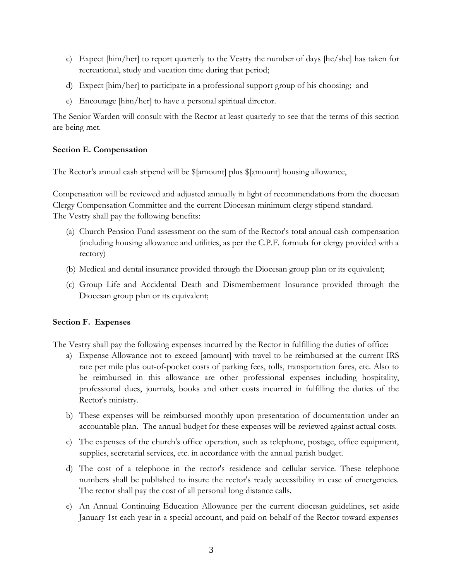- c) Expect [him/her] to report quarterly to the Vestry the number of days [he/she] has taken for recreational, study and vacation time during that period;
- d) Expect [him/her] to participate in a professional support group of his choosing; and
- e) Encourage [him/her] to have a personal spiritual director.

The Senior Warden will consult with the Rector at least quarterly to see that the terms of this section are being met.

## **Section E. Compensation**

The Rector's annual cash stipend will be \$[amount] plus \$[amount] housing allowance,

Compensation will be reviewed and adjusted annually in light of recommendations from the diocesan Clergy Compensation Committee and the current Diocesan minimum clergy stipend standard. The Vestry shall pay the following benefits:

- (a) Church Pension Fund assessment on the sum of the Rector's total annual cash compensation (including housing allowance and utilities, as per the C.P.F. formula for clergy provided with a rectory)
- (b) Medical and dental insurance provided through the Diocesan group plan or its equivalent;
- (c) Group Life and Accidental Death and Dismemberment Insurance provided through the Diocesan group plan or its equivalent;

### **Section F. Expenses**

The Vestry shall pay the following expenses incurred by the Rector in fulfilling the duties of office:

- a) Expense Allowance not to exceed [amount] with travel to be reimbursed at the current IRS rate per mile plus out-of-pocket costs of parking fees, tolls, transportation fares, etc. Also to be reimbursed in this allowance are other professional expenses including hospitality, professional dues, journals, books and other costs incurred in fulfilling the duties of the Rector's ministry.
- b) These expenses will be reimbursed monthly upon presentation of documentation under an accountable plan. The annual budget for these expenses will be reviewed against actual costs.
- c) The expenses of the church's office operation, such as telephone, postage, office equipment, supplies, secretarial services, etc. in accordance with the annual parish budget.
- d) The cost of a telephone in the rector's residence and cellular service. These telephone numbers shall be published to insure the rector's ready accessibility in case of emergencies. The rector shall pay the cost of all personal long distance calls.
- e) An Annual Continuing Education Allowance per the current diocesan guidelines, set aside January 1st each year in a special account, and paid on behalf of the Rector toward expenses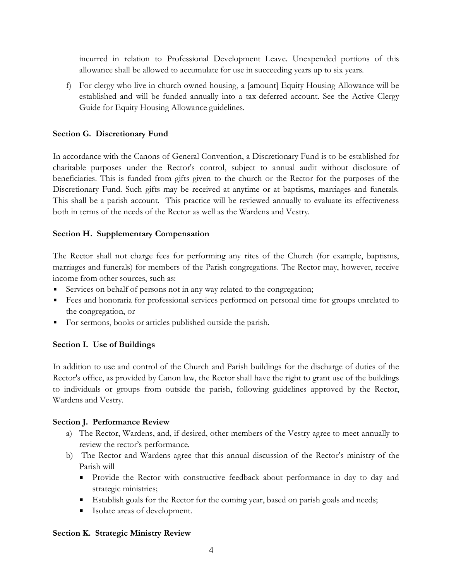incurred in relation to Professional Development Leave. Unexpended portions of this allowance shall be allowed to accumulate for use in succeeding years up to six years.

f) For clergy who live in church owned housing, a [amount] Equity Housing Allowance will be established and will be funded annually into a tax-deferred account. See the Active Clergy Guide for Equity Housing Allowance guidelines.

## **Section G. Discretionary Fund**

In accordance with the Canons of General Convention, a Discretionary Fund is to be established for charitable purposes under the Rector's control, subject to annual audit without disclosure of beneficiaries. This is funded from gifts given to the church or the Rector for the purposes of the Discretionary Fund. Such gifts may be received at anytime or at baptisms, marriages and funerals. This shall be a parish account. This practice will be reviewed annually to evaluate its effectiveness both in terms of the needs of the Rector as well as the Wardens and Vestry.

### **Section H. Supplementary Compensation**

The Rector shall not charge fees for performing any rites of the Church (for example, baptisms, marriages and funerals) for members of the Parish congregations. The Rector may, however, receive income from other sources, such as:

- Services on behalf of persons not in any way related to the congregation;
- Fees and honoraria for professional services performed on personal time for groups unrelated to the congregation, or
- For sermons, books or articles published outside the parish.

### **Section I. Use of Buildings**

In addition to use and control of the Church and Parish buildings for the discharge of duties of the Rector's office, as provided by Canon law, the Rector shall have the right to grant use of the buildings to individuals or groups from outside the parish, following guidelines approved by the Rector, Wardens and Vestry.

### **Section J. Performance Review**

- a) The Rector, Wardens, and, if desired, other members of the Vestry agree to meet annually to review the rector's performance.
- b) The Rector and Wardens agree that this annual discussion of the Rector's ministry of the Parish will
	- **Provide the Rector with constructive feedback about performance in day to day and** strategic ministries;
	- Establish goals for the Rector for the coming year, based on parish goals and needs;
	- Isolate areas of development.

### **Section K. Strategic Ministry Review**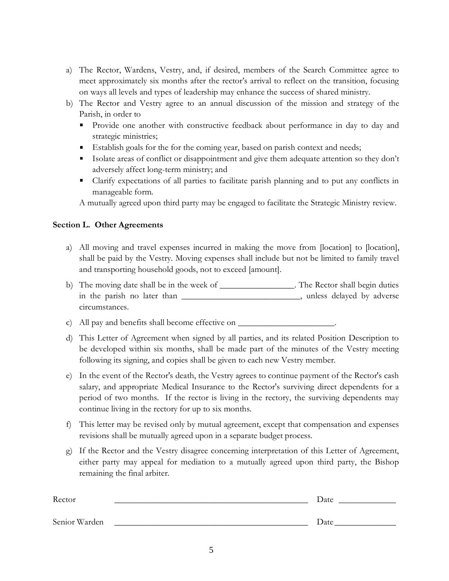- a) The Rector, Wardens, Vestry, and, if desired, members of the Search Committee agree to meet approximately six months after the rector's arrival to reflect on the transition, focusing on ways all levels and types of leadership may enhance the success of shared ministry.
- b) The Rector and Vestry agree to an annual discussion of the mission and strategy of the Parish, in order to
	- **Provide one another with constructive feedback about performance in day to day and** strategic ministries;
	- Establish goals for the for the coming year, based on parish context and needs;
	- Isolate areas of conflict or disappointment and give them adequate attention so they don't adversely affect long-term ministry; and
	- Clarify expectations of all parties to facilitate parish planning and to put any conflicts in manageable form.

A mutually agreed upon third party may be engaged to facilitate the Strategic Ministry review.

# **Section L. Other Agreements**

- a) All moving and travel expenses incurred in making the move from [location] to [location], shall be paid by the Vestry. Moving expenses shall include but not be limited to family travel and transporting household goods, not to exceed [amount].
- b) The moving date shall be in the week of \_\_\_\_\_\_\_\_\_\_\_\_\_\_\_. The Rector shall begin duties in the parish no later than \_\_\_\_\_\_\_\_\_\_\_\_\_\_\_\_\_\_\_\_\_\_\_\_\_\_\_\_\_\_, unless delayed by adverse circumstances.

c) All pay and benefits shall become effective on \_\_\_\_\_\_\_\_\_\_\_\_\_\_\_\_\_\_\_\_\_\_\_\_\_\_\_\_\_\_\_

- d) This Letter of Agreement when signed by all parties, and its related Position Description to be developed within six months, shall be made part of the minutes of the Vestry meeting following its signing, and copies shall be given to each new Vestry member.
- e) In the event of the Rector's death, the Vestry agrees to continue payment of the Rector's cash salary, and appropriate Medical Insurance to the Rector's surviving direct dependents for a period of two months. If the rector is living in the rectory, the surviving dependents may continue living in the rectory for up to six months.
- f) This letter may be revised only by mutual agreement, except that compensation and expenses revisions shall be mutually agreed upon in a separate budget process.
- g) If the Rector and the Vestry disagree concerning interpretation of this Letter of Agreement, either party may appeal for mediation to a mutually agreed upon third party, the Bishop remaining the final arbiter.

| Rector        | Date |
|---------------|------|
|               |      |
| Senior Warden | Date |